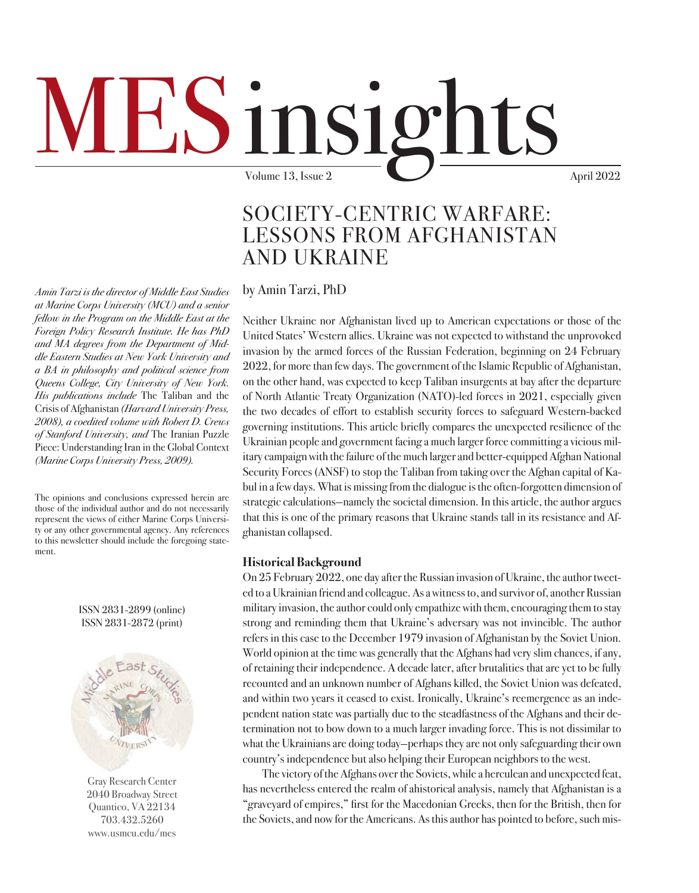## $1<sup>n</sup>S1<sup>o</sup>$ Volume 13, Issue 2  $\sim$  April 2022

### SOCIETY-CENTRIC WARFARE: LESSONS FROM AFGHANISTAN AND UKRAINE

by Amin Tarzi, PhD

Neither Ukraine nor Afghanistan lived up to American expectations or those of the United States' Western allies. Ukraine was not expected to withstand the unprovoked invasion by the armed forces of the Russian Federation, beginning on 24 February 2022, for more than few days. The government of the Islamic Republic of Afghanistan, on the other hand, was expected to keep Taliban insurgents at bay after the departure of North Atlantic Treaty Organization (NATO)-led forces in 2021, especially given the two decades of effort to establish security forces to safeguard Western-backed governing institutions. This article briefly compares the unexpected resilience of the Ukrainian people and government facing a much larger force committing a vicious military campaign with the failure of the much larger and better-equipped Afghan National Security Forces (ANSF) to stop the Taliban from taking over the Afghan capital of Kabul in a few days. What is missing from the dialogue is the often-forgotten dimension of strategic calculations—namely the societal dimension. In this article, the author argues that this is one of the primary reasons that Ukraine stands tall in its resistance and Afghanistan collapsed.

#### **Historical Background**

On 25 February 2022, one day after the Russian invasion of Ukraine, the author tweeted to a Ukrainian friend and colleague. As a witness to, and survivor of, another Russian military invasion, the author could only empathize with them, encouraging them to stay strong and reminding them that Ukraine's adversary was not invincible. The author refers in this case to the December 1979 invasion of Afghanistan by the Soviet Union. World opinion at the time was generally that the Afghans had very slim chances, if any, of retaining their independence. A decade later, after brutalities that are yet to be fully recounted and an unknown number of Afghans killed, the Soviet Union was defeated, and within two years it ceased to exist. Ironically, Ukraine's reemergence as an independent nation state was partially due to the steadfastness of the Afghans and their determination not to bow down to a much larger invading force. This is not dissimilar to what the Ukrainians are doing today—perhaps they are not only safeguarding their own country's independence but also helping their European neighbors to the west.

The victory of the Afghans over the Soviets, while a herculean and unexpected feat, has nevertheless entered the realm of ahistorical analysis, namely that Afghanistan is a "graveyard of empires," first for the Macedonian Greeks, then for the British, then for the Soviets, and now for the Americans. As this author has pointed to before, such mis-

*Amin Tarzi is the director of Middle East Studies at Marine Corps University (MCU) and a senior fellow in the Program on the Middle East at the Foreign Policy Research Institute. He has PhD and MA degrees from the Department of Middle Eastern Studies at New York University and a BA in philosophy and political science from Queens College, City University of New York. His publications include* The Taliban and the Crisis of Afghanistan *(Harvard University Press, 2008), a coedited volume with Robert D. Crews of Stanford University, and* The Iranian Puzzle Piece: Understanding Iran in the Global Context *(Marine Corps University Press, 2009).*

The opinions and conclusions expressed herein are those of the individual author and do not necessarily represent the views of either Marine Corps University or any other governmental agency. Any references to this newsletter should include the foregoing statement.

ISSN 2831-2899 (online) ISSN 2831-2872 (print)



Gray Research Center 2040 Broadway Street Quantico, VA 22134 703.432.5260 [www.usmcu.edu/mes](http://www.usmcu.edu/mes)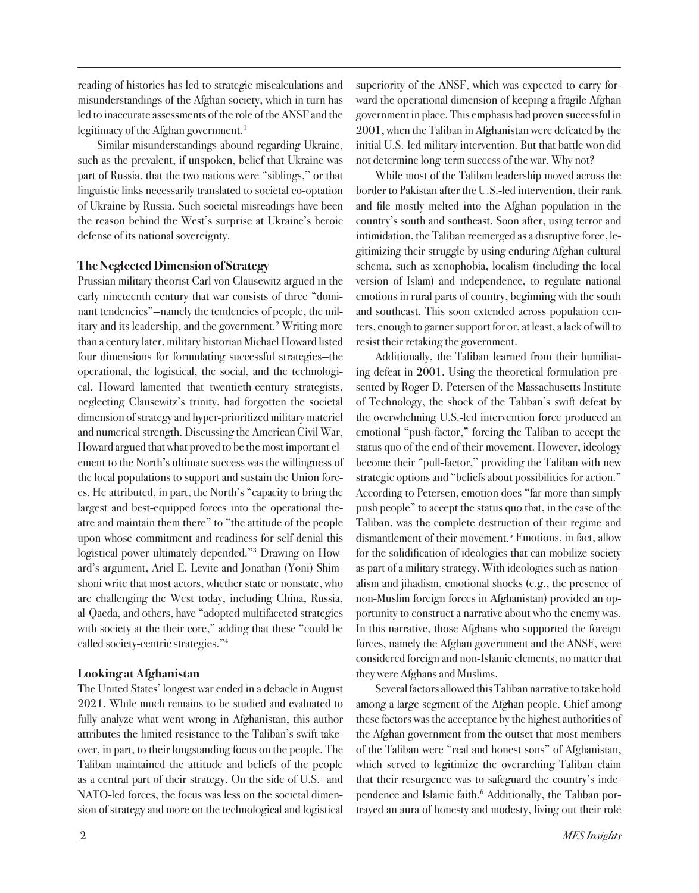reading of histories has led to strategic miscalculations and misunderstandings of the Afghan society, which in turn has led to inaccurate assessments of the role of the ANSF and the legitimacy of the Afghan government.<sup>1</sup>

Similar misunderstandings abound regarding Ukraine, such as the prevalent, if unspoken, belief that Ukraine was part of Russia, that the two nations were "siblings," or that linguistic links necessarily translated to societal co-optation of Ukraine by Russia. Such societal misreadings have been the reason behind the West's surprise at Ukraine's heroic defense of its national sovereignty.

#### **The Neglected Dimension of Strategy**

Prussian military theorist Carl von Clausewitz argued in the early nineteenth century that war consists of three "dominant tendencies"—namely the tendencies of people, the military and its leadership, and the government.<sup>2</sup> Writing more than a century later, military historian Michael Howard listed four dimensions for formulating successful strategies—the operational, the logistical, the social, and the technological. Howard lamented that twentieth-century strategists, neglecting Clausewitz's trinity, had forgotten the societal dimension of strategy and hyper-prioritized military materiel and numerical strength. Discussing the American Civil War, Howard argued that what proved to be the most important element to the North's ultimate success was the willingness of the local populations to support and sustain the Union forces. He attributed, in part, the North's "capacity to bring the largest and best-equipped forces into the operational theatre and maintain them there" to "the attitude of the people upon whose commitment and readiness for self-denial this logistical power ultimately depended."3 Drawing on Howard's argument, Ariel E. Levite and Jonathan (Yoni) Shimshoni write that most actors, whether state or nonstate, who are challenging the West today, including China, Russia, al-Qaeda, and others, have "adopted multifaceted strategies with society at the their core," adding that these "could be called society-centric strategies."4

#### **Looking at Afghanistan**

The United States' longest war ended in a debacle in August 2021. While much remains to be studied and evaluated to fully analyze what went wrong in Afghanistan, this author attributes the limited resistance to the Taliban's swift takeover, in part, to their longstanding focus on the people. The Taliban maintained the attitude and beliefs of the people as a central part of their strategy. On the side of U.S.- and NATO-led forces, the focus was less on the societal dimension of strategy and more on the technological and logistical

superiority of the ANSF, which was expected to carry forward the operational dimension of keeping a fragile Afghan government in place. This emphasis had proven successful in 2001, when the Taliban in Afghanistan were defeated by the initial U.S.-led military intervention. But that battle won did not determine long-term success of the war. Why not?

While most of the Taliban leadership moved across the border to Pakistan after the U.S.-led intervention, their rank and file mostly melted into the Afghan population in the country's south and southeast. Soon after, using terror and intimidation, the Taliban reemerged as a disruptive force, legitimizing their struggle by using enduring Afghan cultural schema, such as xenophobia, localism (including the local version of Islam) and independence, to regulate national emotions in rural parts of country, beginning with the south and southeast. This soon extended across population centers, enough to garner support for or, at least, a lack of will to resist their retaking the government.

Additionally, the Taliban learned from their humiliating defeat in 2001. Using the theoretical formulation presented by Roger D. Petersen of the Massachusetts Institute of Technology, the shock of the Taliban's swift defeat by the overwhelming U.S.-led intervention force produced an emotional "push-factor," forcing the Taliban to accept the status quo of the end of their movement. However, ideology become their "pull-factor," providing the Taliban with new strategic options and "beliefs about possibilities for action." According to Petersen, emotion does "far more than simply push people" to accept the status quo that, in the case of the Taliban, was the complete destruction of their regime and dismantlement of their movement.<sup>5</sup> Emotions, in fact, allow for the solidification of ideologies that can mobilize society as part of a military strategy. With ideologies such as nationalism and jihadism, emotional shocks (e.g., the presence of non-Muslim foreign forces in Afghanistan) provided an opportunity to construct a narrative about who the enemy was. In this narrative, those Afghans who supported the foreign forces, namely the Afghan government and the ANSF, were considered foreign and non-Islamic elements, no matter that they were Afghans and Muslims.

Several factors allowed this Taliban narrative to take hold among a large segment of the Afghan people. Chief among these factors was the acceptance by the highest authorities of the Afghan government from the outset that most members of the Taliban were "real and honest sons" of Afghanistan, which served to legitimize the overarching Taliban claim that their resurgence was to safeguard the country's independence and Islamic faith.<sup>6</sup> Additionally, the Taliban portrayed an aura of honesty and modesty, living out their role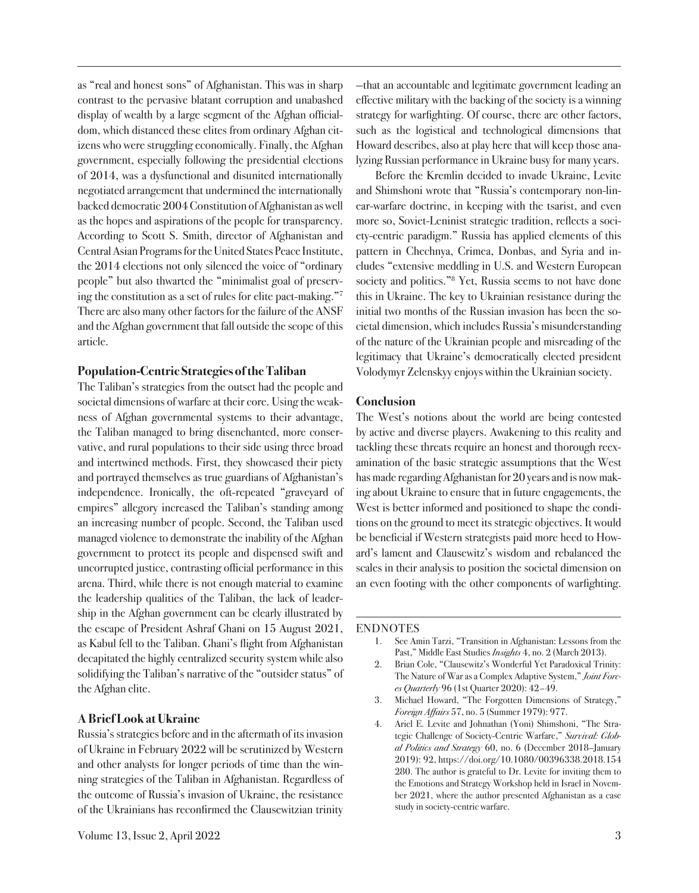as "real and honest sons" of Afghanistan. This was in sharp contrast to the pervasive blatant corruption and unabashed display of wealth by a large segment of the Afghan officialdom, which distanced these elites from ordinary Afghan citizens who were struggling economically. Finally, the Afghan government, especially following the presidential elections of 2014, was a dysfunctional and disunited internationally negotiated arrangement that undermined the internationally backed democratic 2004 Constitution of Afghanistan as well as the hopes and aspirations of the people for transparency. According to Scott S. Smith, director of Afghanistan and Central Asian Programs for the United States Peace Institute, the 2014 elections not only silenced the voice of "ordinary people" but also thwarted the "minimalist goal of preserving the constitution as a set of rules for elite pact-making."7 There are also many other factors for the failure of the ANSF and the Afghan government that fall outside the scope of this article.

#### **Population-Centric Strategies of the Taliban**

The Taliban's strategies from the outset had the people and societal dimensions of warfare at their core. Using the weakness of Afghan governmental systems to their advantage, the Taliban managed to bring disenchanted, more conservative, and rural populations to their side using three broad and intertwined methods. First, they showcased their piety and portrayed themselves as true guardians of Afghanistan's independence. Ironically, the oft-repeated "graveyard of empires" allegory increased the Taliban's standing among an increasing number of people. Second, the Taliban used managed violence to demonstrate the inability of the Afghan government to protect its people and dispensed swift and uncorrupted justice, contrasting official performance in this arena. Third, while there is not enough material to examine the leadership qualities of the Taliban, the lack of leadership in the Afghan government can be clearly illustrated by the escape of President Ashraf Ghani on 15 August 2021, as Kabul fell to the Taliban. Ghani's flight from Afghanistan decapitated the highly centralized security system while also solidifying the Taliban's narrative of the "outsider status" of the Afghan elite.

#### **A Brief Look at Ukraine**

Russia's strategies before and in the aftermath of its invasion of Ukraine in February 2022 will be scrutinized by Western and other analysts for longer periods of time than the winning strategies of the Taliban in Afghanistan. Regardless of the outcome of Russia's invasion of Ukraine, the resistance of the Ukrainians has reconfirmed the Clausewitzian trinity

—that an accountable and legitimate government leading an effective military with the backing of the society is a winning strategy for warfighting. Of course, there are other factors, such as the logistical and technological dimensions that Howard describes, also at play here that will keep those analyzing Russian performance in Ukraine busy for many years.

Before the Kremlin decided to invade Ukraine, Levite and Shimshoni wrote that "Russia's contemporary non-linear-warfare doctrine, in keeping with the tsarist, and even more so, Soviet-Leninist strategic tradition, reflects a society-centric paradigm." Russia has applied elements of this pattern in Chechnya, Crimea, Donbas, and Syria and includes "extensive meddling in U.S. and Western European society and politics."<sup>8</sup> Yet, Russia seems to not have done this in Ukraine. The key to Ukrainian resistance during the initial two months of the Russian invasion has been the societal dimension, which includes Russia's misunderstanding of the nature of the Ukrainian people and misreading of the legitimacy that Ukraine's democratically elected president Volodymyr Zelenskyy enjoys within the Ukrainian society.

#### **Conclusion**

The West's notions about the world are being contested by active and diverse players. Awakening to this reality and tackling these threats require an honest and thorough reexamination of the basic strategic assumptions that the West has made regarding Afghanistan for 20 years and is now making about Ukraine to ensure that in future engagements, the West is better informed and positioned to shape the conditions on the ground to meet its strategic objectives. It would be beneficial if Western strategists paid more heed to Howard's lament and Clausewitz's wisdom and rebalanced the scales in their analysis to position the societal dimension on an even footing with the other components of warfighting.

#### ENDNOTES

- 1. See Amin Tarzi, "Transition in Afghanistan: Lessons from the Past," Middle East Studies *Insights* 4, no. 2 (March 2013).
- 2. Brian Cole, "Clausewitz's Wonderful Yet Paradoxical Trinity: The Nature of War as a Complex Adaptive System," *Joint Forces Quarterly* 96 (1st Quarter 2020): 42–49.
- 3. Michael Howard, "The Forgotten Dimensions of Strategy," *Foreign Affairs* 57, no. 5 (Summer 1979): 977.
- 4. Ariel E. Levite and Johnathan (Yoni) Shimshoni, "The Strategic Challenge of Society-Centric Warfare," *Survival: Global Politics and Strategy* 60, no. 6 (December 2018–January 2019): 92, https://doi.org/10.1080/00396338.2018.154 280. The author is grateful to Dr. Levite for inviting them to the Emotions and Strategy Workshop held in Israel in November 2021, where the author presented Afghanistan as a case study in society-centric warfare.